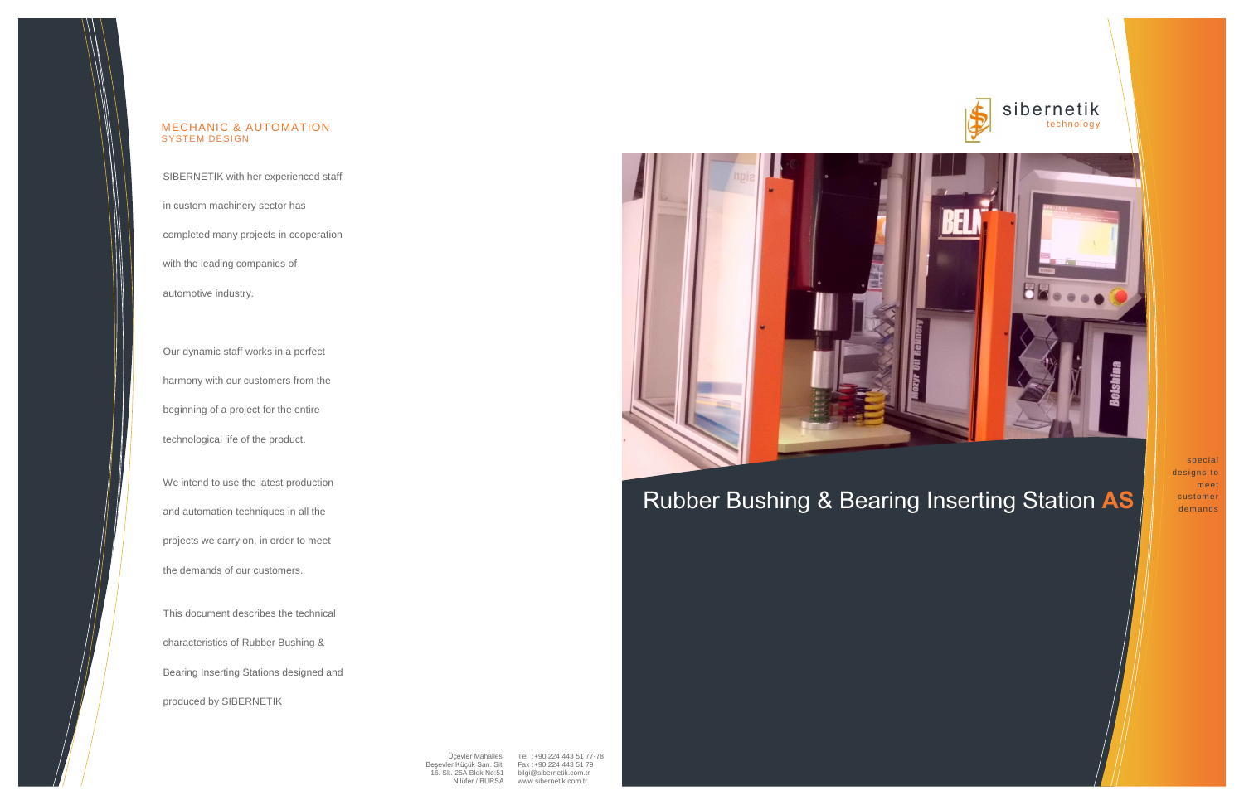### sibernetik technology



## Rubber Bushing & Bearing Inserting Station **AS**

special designs to meet customer demands

SIBERNETIK with her experienced staff

in custom machinery sector has

completed many projects in cooperation

with the leading companies of

automotive industry.

Our dynamic staff works in a perfect harmony with our customers from the beginning of a project for the entire technological life of the product.

We intend to use the latest production and automation techniques in all the projects we carry on, in order to meet the demands of our customers.

This document describes the technical characteristics of Rubber Bushing & Bearing Inserting Stations designed and produced by SIBERNETIK





### MECHANIC & AUTOMATION SYSTEM DESIGN